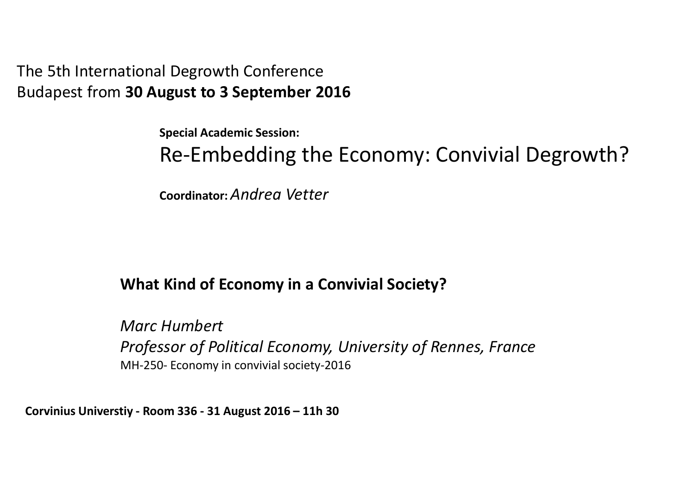The 5th International Degrowth Conference Budapest from **30 August to 3 September 2016**

**Special Academic Session:** 

Re-Embedding the Economy: Convivial Degrowth?

**Coordinator:** *Andrea Vetter*

### **What Kind of Economy in a Convivial Society?**

*Marc HumbertProfessor of Political Economy, University of Rennes, France*MH-250- Economy in convivial society-2016

**Corvinius Universtiy - Room 336 - 31 August 2016 – 11h 30**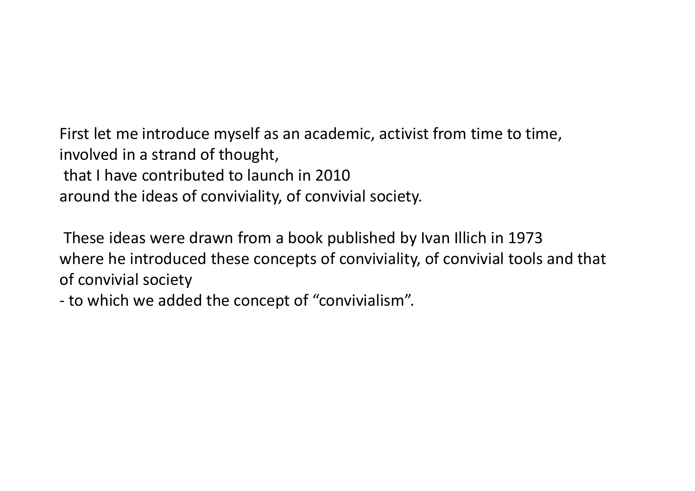First let me introduce myself as an academic, activist from time to time, involved in a strand of thought,that I have contributed to launch in 2010around the ideas of conviviality, of convivial society.

These ideas were drawn from a book published by Ivan Illich in 1973 where he introduced these concepts of conviviality, of convivial tools and that of convivial society

to which we added the concept of "convivialism".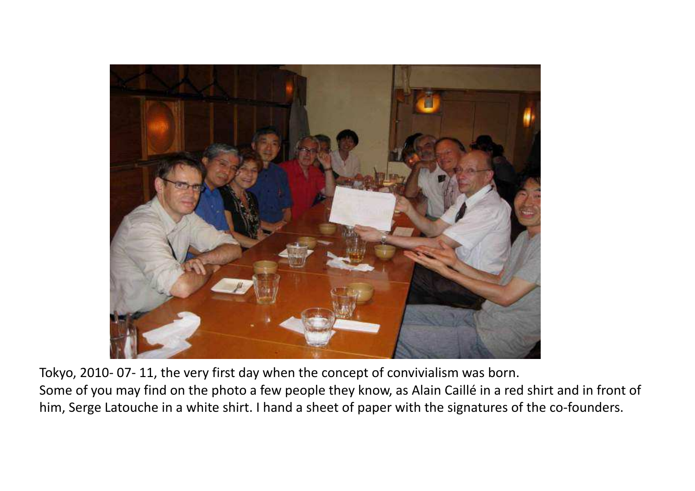

Tokyo, 2010- 07- 11, the very first day when the concept of convivialism was born.

Some of you may find on the photo a few people they know, as Alain Caillé in a red shirt and in front of him, Serge Latouche in a white shirt. I hand a sheet of paper with the signatures of the co-founders.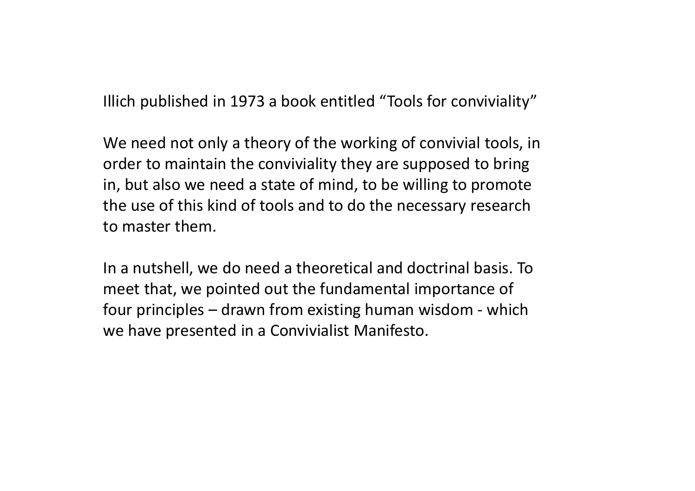Illich published in 1973 a book entitled "Tools for conviviality"

We need not only a theory of the working of convivial tools, in order to maintain the conviviality they are supposed to bring in, but also we need a state of mind, to be willing to promote the use of this kind of tools and to do the necessary research to master them.

In a nutshell, we do need a theoretical and doctrinal basis. To meet that, we pointed out the fundamental importance of four principles – drawn from existing human wisdom - which we have presented in a Convivialist Manifesto.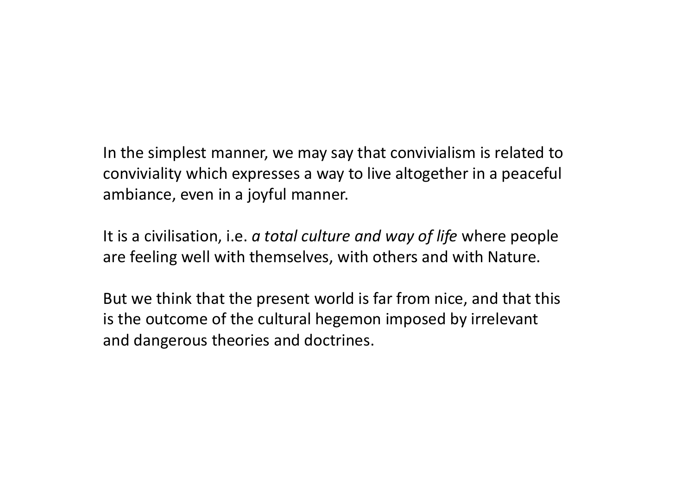In the simplest manner, we may say that convivialism is related to<br>conviviality which avanages a way to live alterather in a necessful conviviality which expresses a way to live altogether in a peaceful ambiance, even in a joyful manner.

It is a civilisation, i.e. *<sup>a</sup> total culture and way of life* where people are feeling well with themselves, with others and with Nature.

But we think that the present world is far from nice, and that this is the outcome of the cultural hegemon imposed by irrelevant and dangerous theories and doctrines.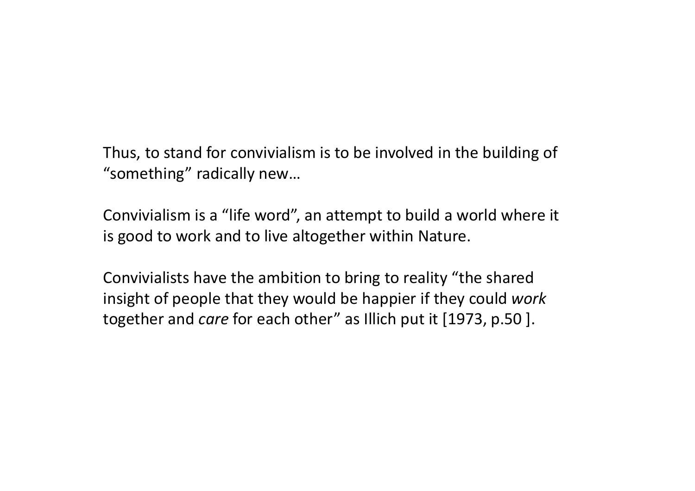Thus, to stand for convivialism is to be involved in the building of<br>"seresthing" redically navy "something" radically new…

Convivialism is a "life word", an attempt to build a world where it is good to work and to live altogether within Nature.

Convivialists have the ambition to bring to reality "the shared insight of people that they would be happier if they could *work*together and *care* for each other" as Illich put it [1973, p.50 ].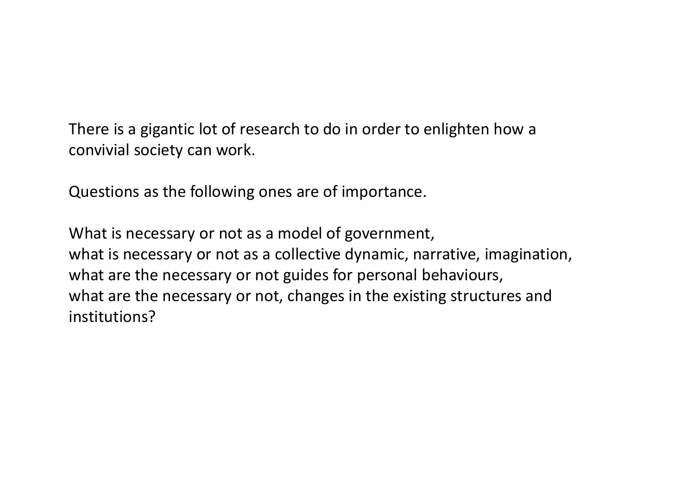There is a gigantic lot of research to do in order to enlighten how a convivial society can work.

Questions as the following ones are of importance.

What is necessary or not as a model of government,what is necessary or not as a collective dynamic, narrative, imagination, what are the necessary or not guides for personal behaviours,what are the necessary or not, changes in the existing structures and institutions?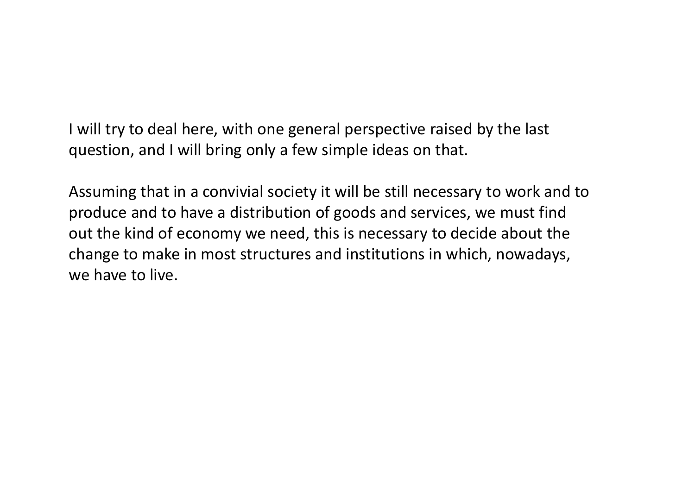I will try to deal here, with one general perspective raised by the last question, and I will bring only a few simple ideas on that.

Assuming that in a convivial society it will be still necessary to work and to produce and to have a distribution of goods and services, we must find out the kind of economy we need, this is necessary to decide about the change to make in most structures and institutions in which, nowadays, we have to live.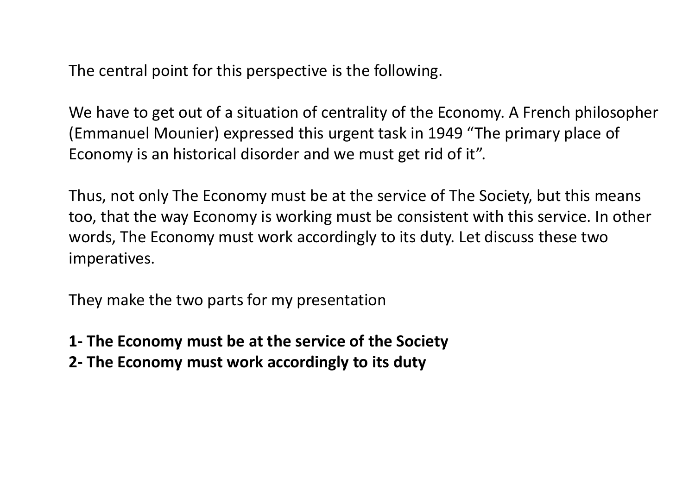The central point for this perspective is the following.

We have to get out of a situation of centrality of the Economy. A French philosopher (Emmanuel Mounier) expressed this urgent task in 1949 "The primary place of Economy is an historical disorder and we must get rid of it".

Thus, not only The Economy must be at the service of The Society, but this means too, that the way Economy is working must be consistent with this service. In other words, The Economy must work accordingly to its duty. Let discuss these two imperatives.

They make the two parts for my presentation

- **1- The Economy must be at the service of the Society**
- **2- The Economy must work accordingly to its duty**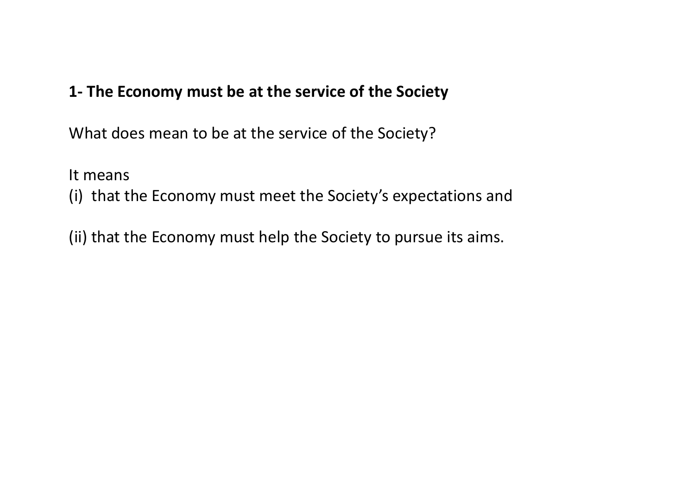## **1- The Economy must be at the service of the Society**

What does mean to be at the service of the Society?

It means

(i) that the Economy must meet the Society's expectations and

(ii) that the Economy must help the Society to pursue its aims.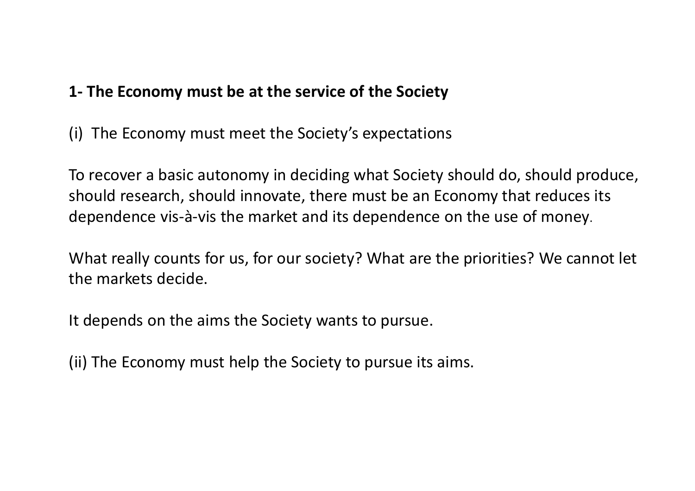## **1- The Economy must be at the service of the Society**

(i) The Economy must meet the Society's expectations

To recover a basic autonomy in deciding what Society should do, should produce, should research, should innovate, there must be an Economy that reduces its dependence vis-à-vis the market and its dependence on the use of money.

What really counts for us, for our society? What are the priorities? We cannot let the markets decide.

It depends on the aims the Society wants to pursue.

(ii) The Economy must help the Society to pursue its aims.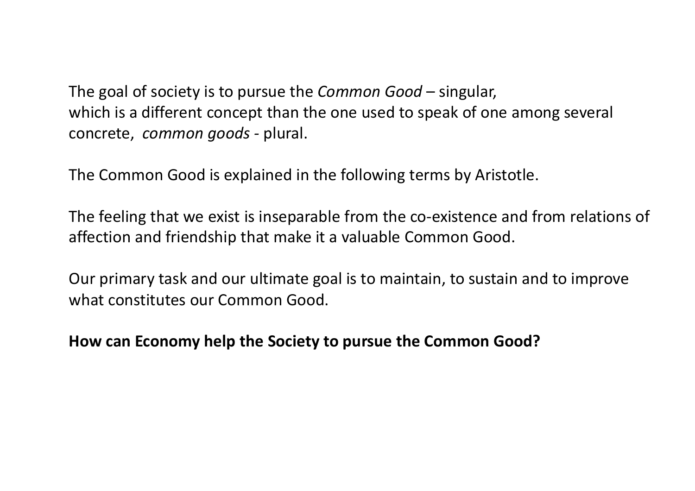The goal of society is to pursue the *Common Good* – singular, which is a different concept than the one used to speak of one among several concrete, *common goods -* plural.

The Common Good is explained in the following terms by Aristotle.

The feeling that we exist is inseparable from the co-existence and from relations of affection and friendship that make it a valuable Common Good.

Our primary task and our ultimate goal is to maintain, to sustain and to improve what constitutes our Common Good.

**How can Economy help the Society to pursue the Common Good?**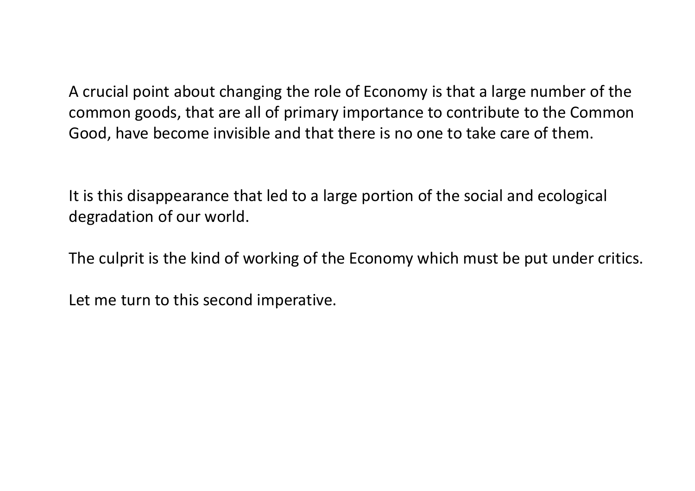A crucial point about changing the role of Economy is that a large number of the common goods, that are all of primary importance to contribute to the Common Good, have become invisible and that there is no one to take care of them.

It is this disappearance that led to a large portion of the social and ecological degradation of our world.

The culprit is the kind of working of the Economy which must be put under critics.

Let me turn to this second imperative.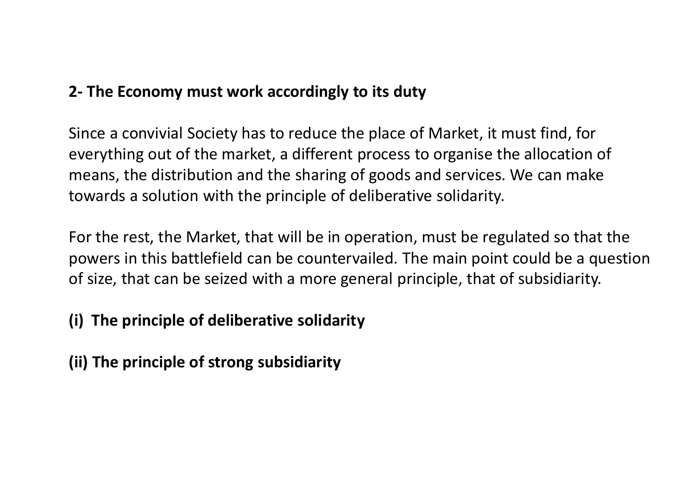# **2- The Economy must work accordingly to its duty**

Since a convivial Society has to reduce the place of Market, it must find, for everything out of the market, a different process to organise the allocation of means, the distribution and the sharing of goods and services. We can make towards a solution with the principle of deliberative solidarity.

For the rest, the Market, that will be in operation, must be regulated so that the powers in this battlefield can be countervailed. The main point could be a question of size, that can be seized with a more general principle, that of subsidiarity.

# **(i) The principle of deliberative solidarity**

**(ii) The principle of strong subsidiarity**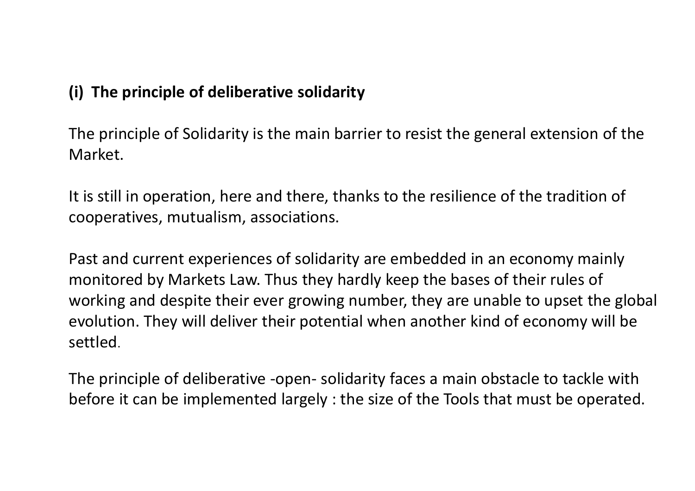# **(i) The principle of deliberative solidarity**

The principle of Solidarity is the main barrier to resist the general extension of the Market.

It is still in operation, here and there, thanks to the resilience of the tradition of cooperatives, mutualism, associations.

Past and current experiences of solidarity are embedded in an economy mainly monitored by Markets Law. Thus they hardly keep the bases of their rules of working and despite their ever growing number, they are unable to upset the global evolution. They will deliver their potential when another kind of economy will be settled.

The principle of deliberative -open- solidarity faces a main obstacle to tackle with before it can be implemented largely : the size of the Tools that must be operated.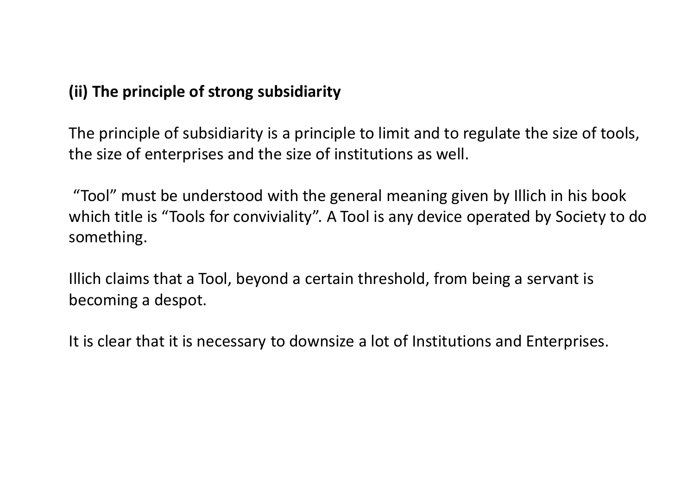## **(ii) The principle of strong subsidiarity**

The principle of subsidiarity is a principle to limit and to regulate the size of tools, the size of enterprises and the size of institutions as well.

"Tool" must be understood with the general meaning given by Illich in his book which title is "Tools for conviviality". A Tool is any device operated by Society to do something.

Illich claims that a Tool, beyond a certain threshold, from being a servant is becoming a despot.

It is clear that it is necessary to downsize a lot of Institutions and Enterprises.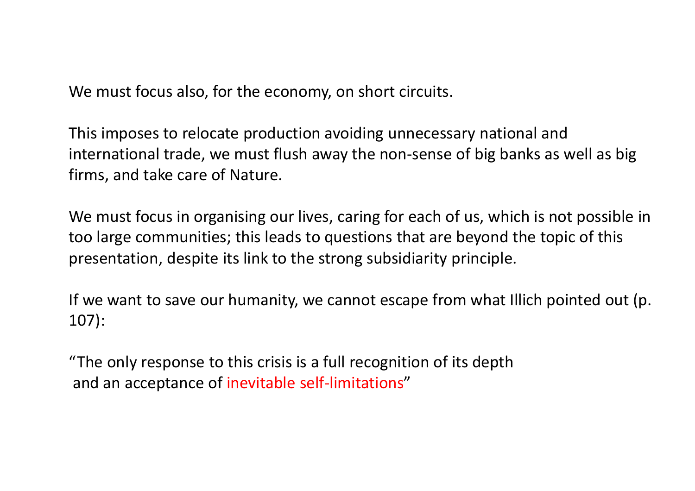We must focus also, for the economy, on short circuits.

This imposes to relocate production avoiding unnecessary national and international trade, we must flush away the non-sense of big banks as well as big firms, and take care of Nature.

We must focus in organising our lives, caring for each of us, which is not possible in too large communities; this leads to questions that are beyond the topic of this presentation, despite its link to the strong subsidiarity principle.

If we want to save our humanity, we cannot escape from what Illich pointed out (p. 107):

"The only response to this crisis is a full recognition of its depthand an acceptance of inevitable self-limitations"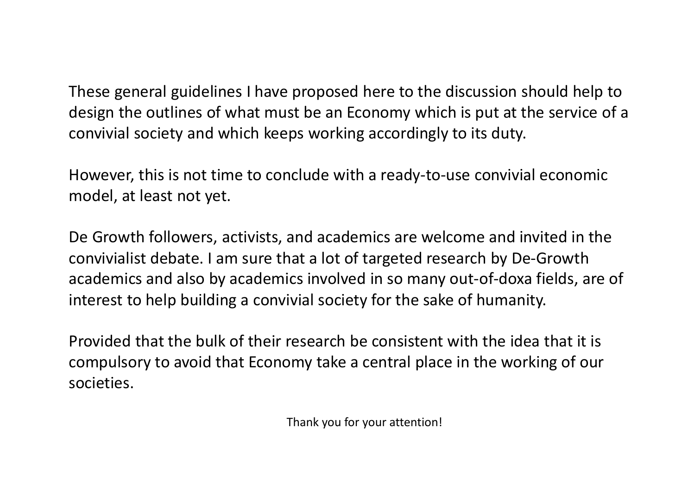These general guidelines I have proposed here to the discussion should help to design the outlines of what must be an Economy which is put at the service of a convivial society and which keeps working accordingly to its duty.

However, this is not time to conclude with a ready-to-use convivial economic model, at least not yet.

De Growth followers, activists, and academics are welcome and invited in the convivialist debate. I am sure that a lot of targeted research by De-Growth academics and also by academics involved in so many out-of-doxa fields, are of interest to help building a convivial society for the sake of humanity.

Provided that the bulk of their research be consistent with the idea that it is compulsory to avoid that Economy take a central place in the working of our societies.

Thank you for your attention!